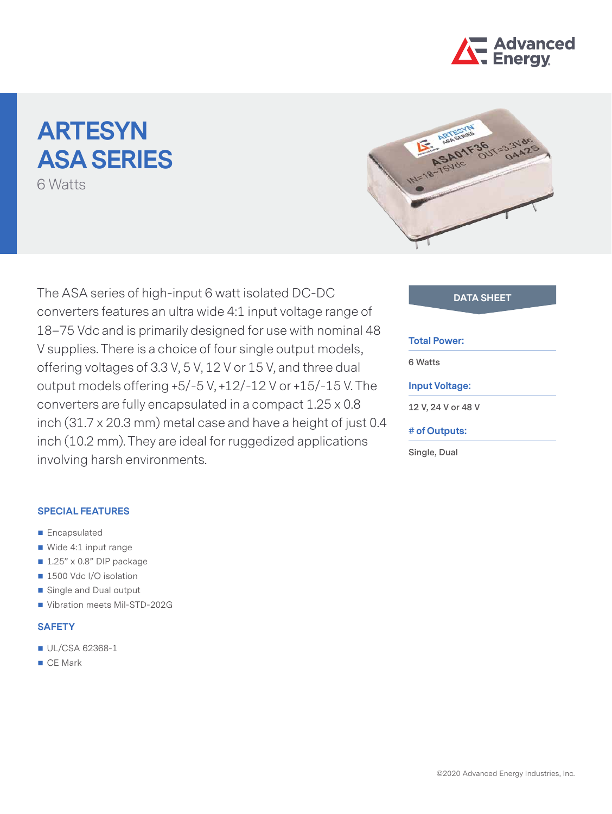

# **ARTESYN ASA SERIES**

6 Watts



The ASA series of high-input 6 watt isolated DC-DC **DATA SHEET** converters features an ultra wide 4:1 input voltage range of 18–75 Vdc and is primarily designed for use with nominal 48 V supplies. There is a choice of four single output models, offering voltages of 3.3 V, 5 V, 12 V or 15 V, and three dual output models offering +5/-5 V, +12/-12 V or +15/-15 V. The converters are fully encapsulated in a compact 1.25 x 0.8 inch (31.7 x 20.3 mm) metal case and have a height of just 0.4 inch (10.2 mm). They are ideal for ruggedized applications involving harsh environments.

# **SPECIAL FEATURES**

- **Encapsulated**
- Wide 4:1 input range
- $\blacksquare$  1.25" x 0.8" DIP package
- 1500 Vdc I/O isolation
- Single and Dual output
- Vibration meets Mil-STD-202G

# **SAFETY**

- UL/CSA 62368-1
- CE Mark

# **Total Power:**

**6 Watts**

# **Input Voltage:**

**12 V, 24 V or 48 V**

# **# of Outputs:**

**Single, Dual**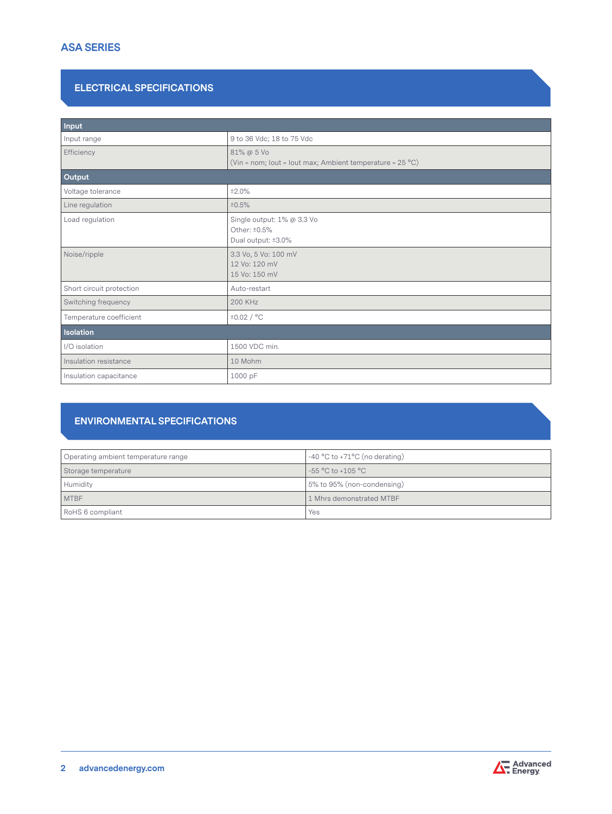# **ASA SERIES**

# **ELECTRICAL SPECIFICATIONS**

| Input                    |                                                                                  |  |  |  |
|--------------------------|----------------------------------------------------------------------------------|--|--|--|
| Input range              | 9 to 36 Vdc; 18 to 75 Vdc                                                        |  |  |  |
| Efficiency               | 81% @ 5 Vo<br>(Vin = nom; lout = lout max; Ambient temperature = $25^{\circ}$ C) |  |  |  |
| Output                   |                                                                                  |  |  |  |
| Voltage tolerance        | ±2.0%                                                                            |  |  |  |
| Line regulation          | ±0.5%                                                                            |  |  |  |
| Load regulation          | Single output: 1% @ 3.3 Vo<br>Other: ±0.5%<br>Dual output: ±3.0%                 |  |  |  |
| Noise/ripple             | 3.3 Vo, 5 Vo: 100 mV<br>12 Vo: 120 mV<br>15 Vo: 150 mV                           |  |  |  |
| Short circuit protection | Auto-restart                                                                     |  |  |  |
| Switching frequency      | 200 KHz                                                                          |  |  |  |
| Temperature coefficient  | ±0.02/°C                                                                         |  |  |  |
| <b>Isolation</b>         |                                                                                  |  |  |  |
| I/O isolation            | 1500 VDC min.                                                                    |  |  |  |
| Insulation resistance    | 10 Mohm                                                                          |  |  |  |
| Insulation capacitance   | 1000 pF                                                                          |  |  |  |

# **ENVIRONMENTAL SPECIFICATIONS**

| Operating ambient temperature range | $-40$ °C to +71°C (no derating) |  |
|-------------------------------------|---------------------------------|--|
| Storage temperature                 | -55 °C to +105 °C               |  |
| Humidity                            | 5% to 95% (non-condensing)      |  |
| MTBF                                | 1 Mhrs demonstrated MTBF        |  |
| RoHS 6 compliant                    | Yes                             |  |

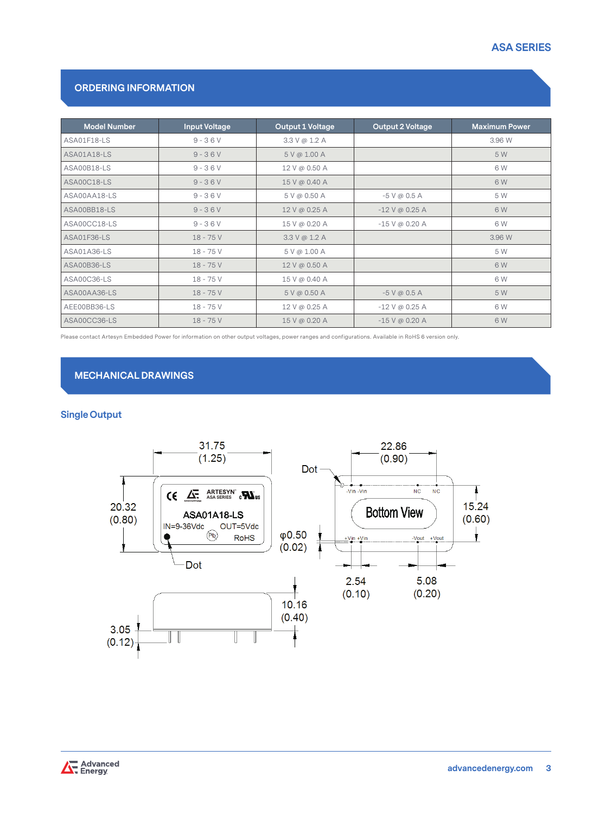# **ASA SERIES**

# **ORDERING INFORMATION**

| <b>Model Number</b> | <b>Input Voltage</b> | Output 1 Voltage | <b>Output 2 Voltage</b> | <b>Maximum Power</b> |
|---------------------|----------------------|------------------|-------------------------|----------------------|
| ASA01F18-LS         | $9 - 36V$            | 3.3 V @ 1.2 A    |                         | 3.96 W               |
| ASA01A18-LS         | $9 - 36V$            | 5 V @ 1.00 A     |                         | 5 W                  |
| ASA00B18-LS         | $9 - 36V$            | 12 V @ 0.50 A    |                         | 6 W                  |
| ASA00C18-LS         | $9 - 36V$            | 15 V @ 0.40 A    |                         | 6 W                  |
| ASA00AA18-LS        | $9 - 36V$            | 5 V @ 0.50 A     | $-5$ V @ 0.5 A          | 5 W                  |
| ASA00BB18-LS        | $9 - 36V$            | 12 V @ 0.25 A    | $-12$ V @ 0.25 A        | 6 W                  |
| ASA00CC18-LS        | $9 - 36V$            | 15 V @ 0.20 A    | $-15$ V @ 0.20 A        | 6 W                  |
| ASA01F36-LS         | $18 - 75V$           | 3.3 V @ 1.2 A    |                         | 3.96 W               |
| ASA01A36-LS         | $18 - 75V$           | 5 V @ 1.00 A     |                         | 5 W                  |
| ASA00B36-LS         | $18 - 75V$           | 12 V @ 0.50 A    |                         | 6 W                  |
| ASA00C36-LS         | $18 - 75V$           | 15 V @ 0.40 A    |                         | 6 W                  |
| ASA00AA36-LS        | $18 - 75V$           | 5 V @ 0.50 A     | $-5$ V @ 0.5 A          | 5 W                  |
| AEE00BB36-LS        | $18 - 75V$           | 12 V @ 0.25 A    | $-12$ V @ 0.25 A        | 6 W                  |
| ASA00CC36-LS        | $18 - 75V$           | 15 V @ 0.20 A    | $-15$ V @ 0.20 A        | 6 W                  |

Please contact Artesyn Embedded Power for information on other output voltages, power ranges and configurations. Available in RoHS 6 version only.

# **MECHANICAL DRAWINGS**

# **Single Output**



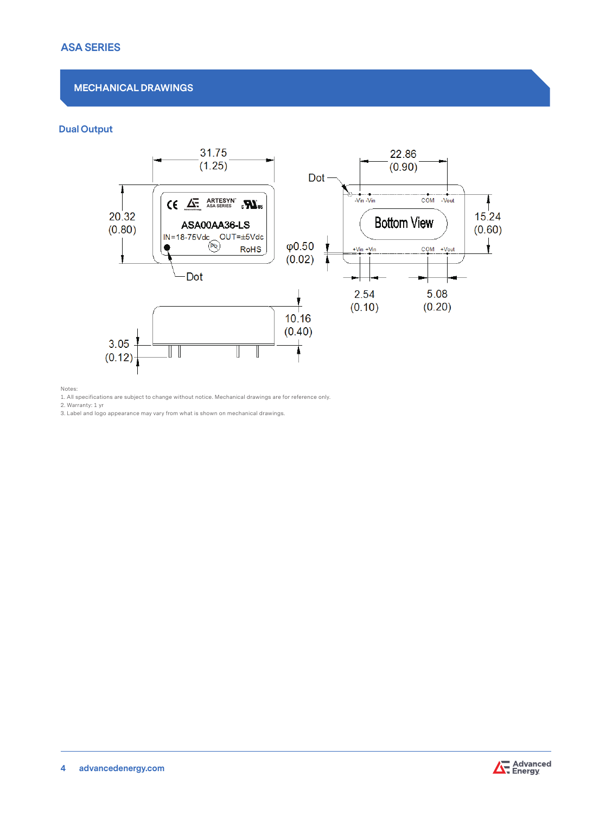# **ASA SERIES**

# **MECHANICAL DRAWINGS**

# **Dual Output**



Notes:

1. All specifications are subject to change without notice. Mechanical drawings are for reference only.

2. Warranty: 1 yr

3. Label and logo appearance may vary from what is shown on mechanical drawings.